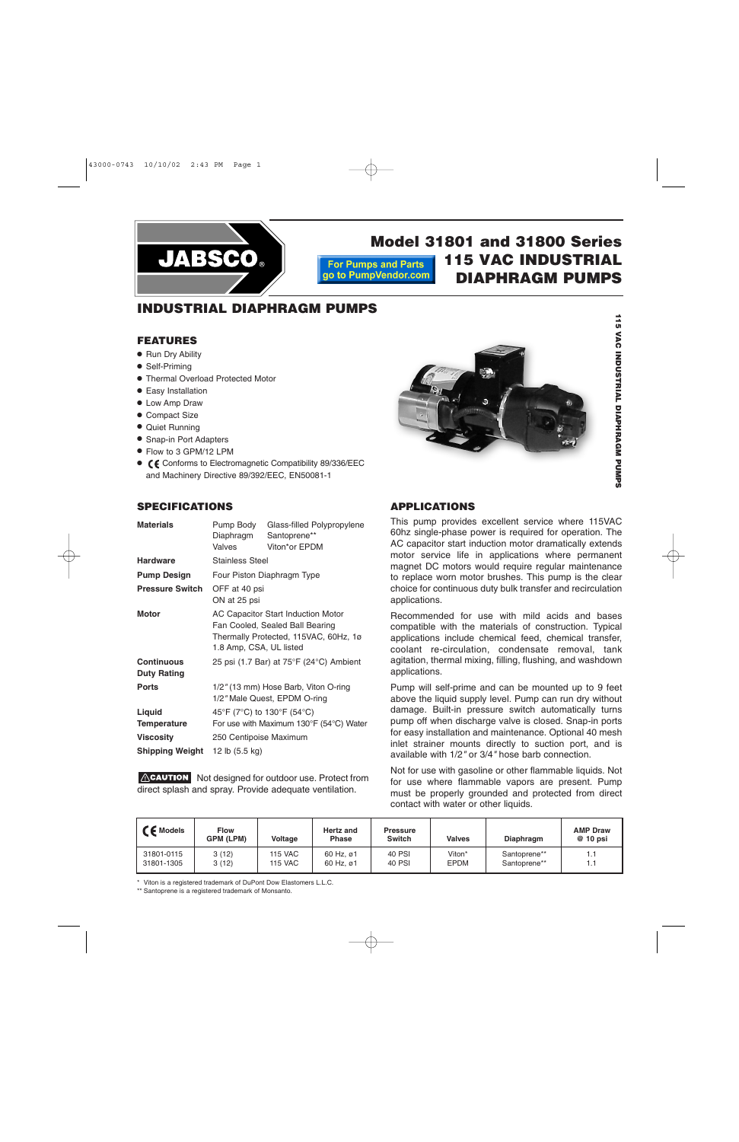

**Model 31801 and 31800 Series 115 VAC INDUSTRIAL For Pumps and Parts** go to PumpVendor.com **DIAPHRAGM PUMPS**

# **INDUSTRIAL DIAPHRAGM PUMPS**

#### **FEATURES**

- Run Dry Ability
- Self-Priming
- Thermal Overload Protected Motor
- Easy Installation
- Low Amp Draw
- Compact Size
- Quiet Running
- Snap-in Port Adapters
- Flow to 3 GPM/12 LPM
- ${\mathsf C}$  € Conforms to Electromagnetic Compatibility 89/336/EEC and Machinery Directive 89/392/EEC, EN50081-1

# **SPECIFICATIONS**

| <b>Materials</b>                        | Pump Body<br>Diaphragm<br>Valves                                                                                                                 | Glass-filled Polypropylene<br>Santoprene**<br>Viton*or EPDM |  |  |  |  |
|-----------------------------------------|--------------------------------------------------------------------------------------------------------------------------------------------------|-------------------------------------------------------------|--|--|--|--|
| <b>Hardware</b>                         | <b>Stainless Steel</b>                                                                                                                           |                                                             |  |  |  |  |
| <b>Pump Design</b>                      | Four Piston Diaphragm Type                                                                                                                       |                                                             |  |  |  |  |
| <b>Pressure Switch</b>                  | OFF at 40 psi<br>ON at 25 psi                                                                                                                    |                                                             |  |  |  |  |
| <b>Motor</b>                            | <b>AC Capacitor Start Induction Motor</b><br>Fan Cooled, Sealed Ball Bearing<br>Thermally Protected, 115VAC, 60Hz, 1ø<br>1.8 Amp, CSA, UL listed |                                                             |  |  |  |  |
| <b>Continuous</b><br><b>Duty Rating</b> | 25 psi (1.7 Bar) at 75°F (24°C) Ambient                                                                                                          |                                                             |  |  |  |  |
| <b>Ports</b>                            | 1/2" (13 mm) Hose Barb, Viton O-ring<br>1/2" Male Quest, EPDM O-ring                                                                             |                                                             |  |  |  |  |
| Liquid<br><b>Temperature</b>            | 45°F (7°C) to 130°F (54°C)<br>For use with Maximum 130°F (54°C) Water                                                                            |                                                             |  |  |  |  |
| <b>Viscosity</b>                        | 250 Centipoise Maximum                                                                                                                           |                                                             |  |  |  |  |
| <b>Shipping Weight</b>                  | 12 lb (5.5 kg)                                                                                                                                   |                                                             |  |  |  |  |

ACAUTION Not designed for outdoor use. Protect from direct splash and spray. Provide adequate ventilation.



**115 VAC**

# **APPLICATIONS**

This pump provides excellent service where 115VAC 60hz single-phase power is required for operation. The AC capacitor start induction motor dramatically extends motor service life in applications where permanent magnet DC motors would require regular maintenance to replace worn motor brushes. This pump is the clear choice for continuous duty bulk transfer and recirculation applications.

Recommended for use with mild acids and bases compatible with the materials of construction. Typical applications include chemical feed, chemical transfer, coolant re-circulation, condensate removal, tank agitation, thermal mixing, filling, flushing, and washdown applications.

Pump will self-prime and can be mounted up to 9 feet above the liquid supply level. Pump can run dry without damage. Built-in pressure switch automatically turns pump off when discharge valve is closed. Snap-in ports for easy installation and maintenance. Optional 40 mesh inlet strainer mounts directly to suction port, and is available with 1/2*"* or 3/4*"* hose barb connection.

Not for use with gasoline or other flammable liquids. Not for use where flammable vapors are present. Pump must be properly grounded and protected from direct contact with water or other liquids.

| $\epsilon$ Models | <b>Flow</b><br>GPM (LPM) | Voltage        | Hertz and<br><b>Phase</b> | <b>Pressure</b><br><b>Switch</b> | <b>Valves</b> | <b>Diaphragm</b> | <b>AMP Draw</b><br>$@10$ psi |
|-------------------|--------------------------|----------------|---------------------------|----------------------------------|---------------|------------------|------------------------------|
| 31801-0115        | 3(12)                    | <b>115 VAC</b> | 60 Hz, ø1                 | 40 PSI                           | Viton*        | Santoprene**     | 1.1                          |
| 31801-1305        | 3(12)                    | <b>115 VAC</b> | 60 Hz. ø1                 | 40 PSI                           | <b>EPDM</b>   | Santoprene**     | 1.1                          |

\* Viton is a registered trademark of DuPont Dow Elastomers L.L.C.

\*\* Santoprene is a registered trademark of Monsanto.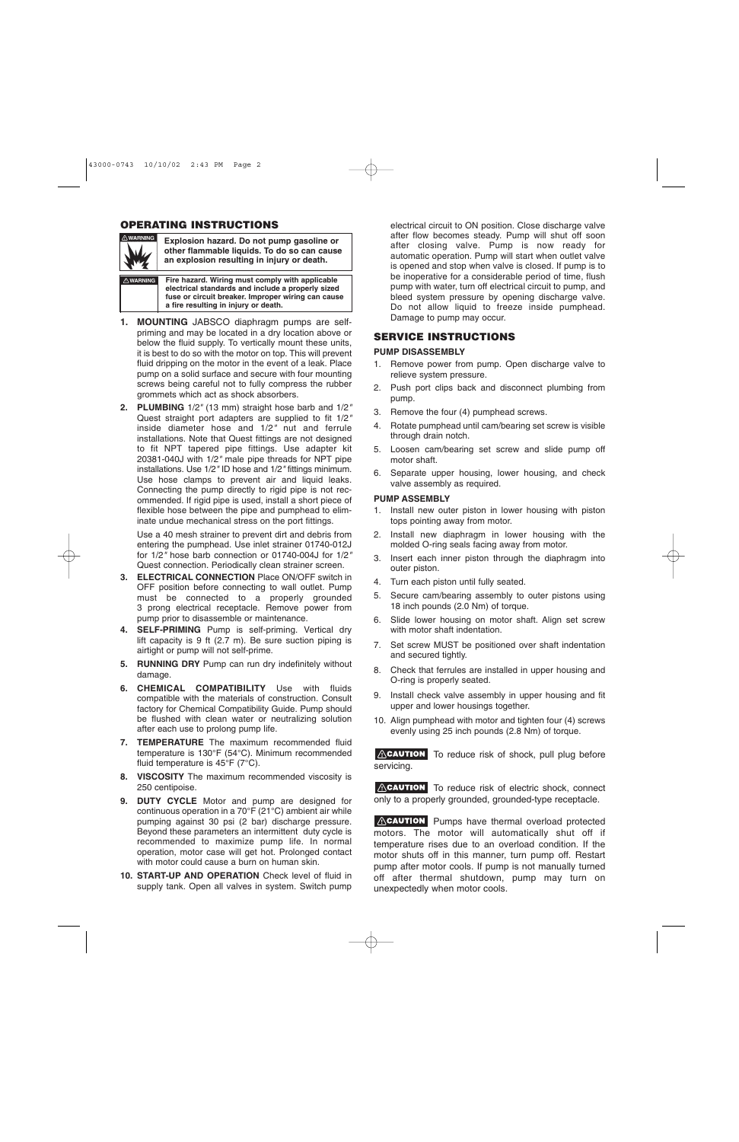# **OPERATING INSTRUCTIONS**



**Explosion hazard. Do not pump gasoline or other flammable liquids. To do so can cause an explosion resulting in injury or death.**

**! WARNING Fire hazard. Wiring must comply with applicable electrical standards and include a properly sized fuse or circuit breaker. Improper wiring can cause a fire resulting in injury or death.**

- **1. MOUNTING** JABSCO diaphragm pumps are selfpriming and may be located in a dry location above or below the fluid supply. To vertically mount these units, it is best to do so with the motor on top. This will prevent fluid dripping on the motor in the event of a leak. Place pump on a solid surface and secure with four mounting screws being careful not to fully compress the rubber grommets which act as shock absorbers.
- **2. PLUMBING** 1/2*"* (13 mm) straight hose barb and 1/2*"* Quest straight port adapters are supplied to fit 1/2*"* inside diameter hose and 1/2*"* nut and ferrule installations. Note that Quest fittings are not designed to fit NPT tapered pipe fittings. Use adapter kit 20381-040J with 1/2*"* male pipe threads for NPT pipe installations. Use 1/2*"* ID hose and 1/2*"* fittings minimum. Use hose clamps to prevent air and liquid leaks. Connecting the pump directly to rigid pipe is not recommended. If rigid pipe is used, install a short piece of flexible hose between the pipe and pumphead to eliminate undue mechanical stress on the port fittings.

Use a 40 mesh strainer to prevent dirt and debris from entering the pumphead. Use inlet strainer 01740-012J for 1/2*"* hose barb connection or 01740-004J for 1/2*"* Quest connection. Periodically clean strainer screen.

- **3. ELECTRICAL CONNECTION Place ON/OFF switch in** OFF position before connecting to wall outlet. Pump must be connected to a properly grounded 3 prong electrical receptacle. Remove power from pump prior to disassemble or maintenance.
- **4. SELF-PRIMING** Pump is self-priming. Vertical dry lift capacity is 9 ft (2.7 m). Be sure suction piping is airtight or pump will not self-prime.
- **5. RUNNING DRY** Pump can run dry indefinitely without damage.
- **6. CHEMICAL COMPATIBILITY** Use with fluids compatible with the materials of construction. Consult factory for Chemical Compatibility Guide. Pump should be flushed with clean water or neutralizing solution after each use to prolong pump life.
- **7. TEMPERATURE** The maximum recommended fluid temperature is 130°F (54°C). Minimum recommended fluid temperature is 45°F (7°C).
- **8. VISCOSITY** The maximum recommended viscosity is 250 centipoise.
- **9. DUTY CYCLE** Motor and pump are designed for continuous operation in a 70°F (21°C) ambient air while pumping against 30 psi (2 bar) discharge pressure. Beyond these parameters an intermittent duty cycle is recommended to maximize pump life. In normal operation, motor case will get hot. Prolonged contact with motor could cause a burn on human skin.
- **10. START-UP AND OPERATION** Check level of fluid in supply tank. Open all valves in system. Switch pump

electrical circuit to ON position. Close discharge valve after flow becomes steady. Pump will shut off soon after closing valve. Pump is now ready for automatic operation. Pump will start when outlet valve is opened and stop when valve is closed. If pump is to be inoperative for a considerable period of time, flush pump with water, turn off electrical circuit to pump, and bleed system pressure by opening discharge valve. Do not allow liquid to freeze inside pumphead. Damage to pump may occur.

### **SERVICE INSTRUCTIONS**

#### **PUMP DISASSEMBLY**

- 1. Remove power from pump. Open discharge valve to relieve system pressure.
- 2. Push port clips back and disconnect plumbing from pump.
- 3. Remove the four (4) pumphead screws.
- 4. Rotate pumphead until cam/bearing set screw is visible through drain notch.
- 5. Loosen cam/bearing set screw and slide pump off motor shaft.
- 6. Separate upper housing, lower housing, and check valve assembly as required.

#### **PUMP ASSEMBLY**

- 1. Install new outer piston in lower housing with piston tops pointing away from motor.
- 2. Install new diaphragm in lower housing with the molded O-ring seals facing away from motor.
- 3. Insert each inner piston through the diaphragm into outer piston.
- 4. Turn each piston until fully seated.
- 5. Secure cam/bearing assembly to outer pistons using 18 inch pounds (2.0 Nm) of torque.
- 6. Slide lower housing on motor shaft. Align set screw with motor shaft indentation.
- 7. Set screw MUST be positioned over shaft indentation and secured tightly.
- 8. Check that ferrules are installed in upper housing and O-ring is properly seated.
- 9. Install check valve assembly in upper housing and fit upper and lower housings together.
- 10. Align pumphead with motor and tighten four (4) screws evenly using 25 inch pounds (2.8 Nm) of torque.

**ACAUTION** To reduce risk of shock, pull plug before servicing.

ACAUTION To reduce risk of electric shock, connect only to a properly grounded, grounded-type receptacle.

ACAUTION Pumps have thermal overload protected motors. The motor will automatically shut off if temperature rises due to an overload condition. If the motor shuts off in this manner, turn pump off. Restart pump after motor cools. If pump is not manually turned off after thermal shutdown, pump may turn on unexpectedly when motor cools.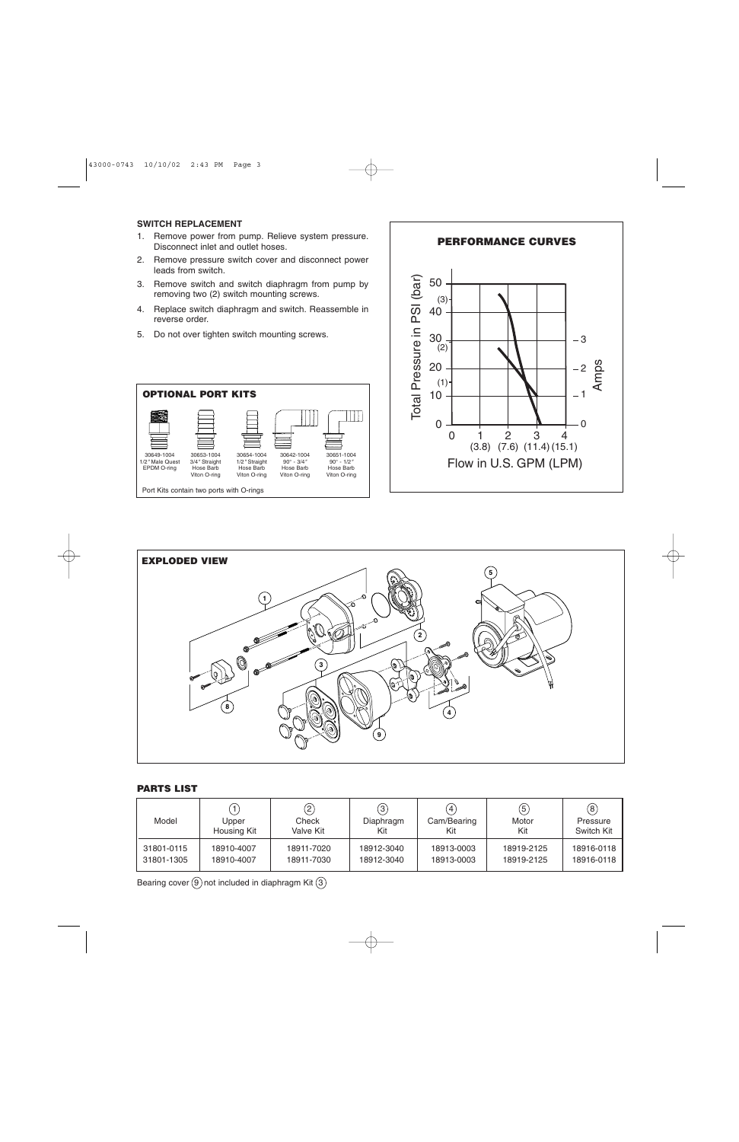#### **SWITCH REPLACEMENT**

- 1. Remove power from pump. Relieve system pressure. Disconnect inlet and outlet hoses.
- 2. Remove pressure switch cover and disconnect power leads from switch.
- 3. Remove switch and switch diaphragm from pump by removing two (2) switch mounting screws.
- 4. Replace switch diaphragm and switch. Reassemble in reverse order.
- 5. Do not over tighten switch mounting screws.







#### **PARTS LIST**

| Model      | Upper<br>Housing Kit | $\left( 2\right)$<br>Check<br>Valve Kit | $\left(3\right)$<br>Diaphragm<br>Kit | $\left( 4\right)$<br>Cam/Bearing<br>Kit | (5)<br>Motor<br>Kit | $\circledS$<br>Pressure<br>Switch Kit |
|------------|----------------------|-----------------------------------------|--------------------------------------|-----------------------------------------|---------------------|---------------------------------------|
| 31801-0115 | 18910-4007           | 18911-7020                              | 18912-3040                           | 18913-0003                              | 18919-2125          | 18916-0118                            |
| 31801-1305 | 18910-4007           | 18911-7030                              | 18912-3040                           | 18913-0003                              | 18919-2125          | 18916-0118                            |

Bearing cover  $(9)$  not included in diaphragm Kit  $(3)$